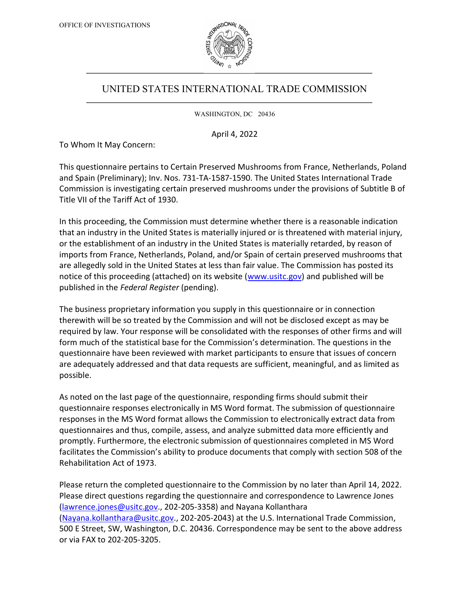

## UNITED STATES INTERNATIONAL TRADE COMMISSION

WASHINGTON, DC 20436

April 4, 2022

To Whom It May Concern:

This questionnaire pertains to Certain Preserved Mushrooms from France, Netherlands, Poland and Spain (Preliminary); Inv. Nos. 731-TA-1587-1590. The United States International Trade Commission is investigating certain preserved mushrooms under the provisions of Subtitle B of Title VII of the Tariff Act of 1930.

In this proceeding, the Commission must determine whether there is a reasonable indication that an industry in the United States is materially injured or is threatened with material injury, or the establishment of an industry in the United States is materially retarded, by reason of imports from France, Netherlands, Poland, and/or Spain of certain preserved mushrooms that are allegedly sold in the United States at less than fair value. The Commission has posted its notice of this proceeding (attached) on its website (www.usitc.gov) and published will be published in the Federal Register (pending).

The business proprietary information you supply in this questionnaire or in connection therewith will be so treated by the Commission and will not be disclosed except as may be required by law. Your response will be consolidated with the responses of other firms and will form much of the statistical base for the Commission's determination. The questions in the questionnaire have been reviewed with market participants to ensure that issues of concern are adequately addressed and that data requests are sufficient, meaningful, and as limited as possible.

As noted on the last page of the questionnaire, responding firms should submit their questionnaire responses electronically in MS Word format. The submission of questionnaire responses in the MS Word format allows the Commission to electronically extract data from questionnaires and thus, compile, assess, and analyze submitted data more efficiently and promptly. Furthermore, the electronic submission of questionnaires completed in MS Word facilitates the Commission's ability to produce documents that comply with section 508 of the Rehabilitation Act of 1973.

Please return the completed questionnaire to the Commission by no later than April 14, 2022. Please direct questions regarding the questionnaire and correspondence to Lawrence Jones (lawrence.jones@usitc.gov., 202-205-3358) and Nayana Kollanthara (Nayana.kollanthara@usitc.gov., 202-205-2043) at the U.S. International Trade Commission, 500 E Street, SW, Washington, D.C. 20436. Correspondence may be sent to the above address or via FAX to 202-205-3205.